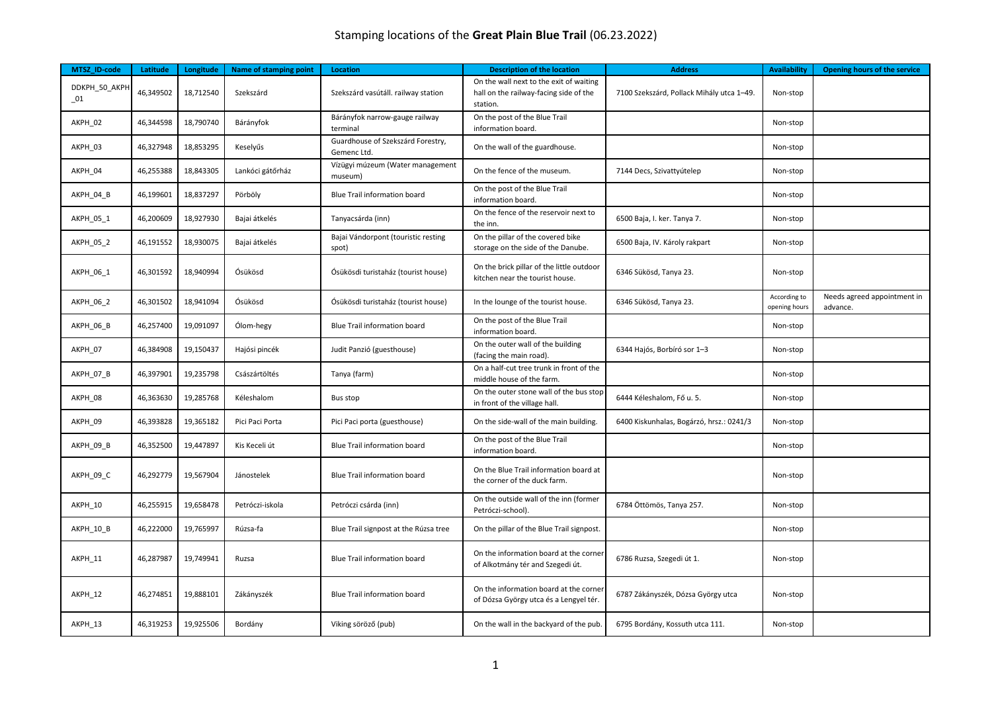| MTSZ ID-code             | Latitude  | Longitude | <b>Name of stamping point</b> | <b>Location</b>                                  | <b>Description of the location</b>                                                            | <b>Address</b>                            | <b>Availability</b>           | <b>Opening hours of the service</b>     |
|--------------------------|-----------|-----------|-------------------------------|--------------------------------------------------|-----------------------------------------------------------------------------------------------|-------------------------------------------|-------------------------------|-----------------------------------------|
| DDKPH_50_AKPH<br>$_{01}$ | 46,349502 | 18,712540 | Szekszárd                     | Szekszárd vasútáll. railway station              | On the wall next to the exit of waiting<br>hall on the railway-facing side of the<br>station. | 7100 Szekszárd, Pollack Mihály utca 1-49. | Non-stop                      |                                         |
| AKPH_02                  | 46,344598 | 18,790740 | Bárányfok                     | Bárányfok narrow-gauge railway<br>terminal       | On the post of the Blue Trail<br>information board.                                           |                                           | Non-stop                      |                                         |
| AKPH_03                  | 46,327948 | 18,853295 | Keselyűs                      | Guardhouse of Szekszárd Forestry,<br>Gemenc Ltd. | On the wall of the guardhouse.                                                                |                                           | Non-stop                      |                                         |
| AKPH_04                  | 46,255388 | 18,843305 | Lankóci gátőrház              | Vízügyi múzeum (Water management<br>museum)      | On the fence of the museum.                                                                   | 7144 Decs, Szivattyútelep                 | Non-stop                      |                                         |
| AKPH_04_B                | 46,199601 | 18,837297 | Pörböly                       | Blue Trail information board                     | On the post of the Blue Trail<br>information board.                                           |                                           | Non-stop                      |                                         |
| AKPH_05_1                | 46,200609 | 18,927930 | Bajai átkelés                 | Tanyacsárda (inn)                                | On the fence of the reservoir next to<br>the inn.                                             | 6500 Baja, I. ker. Tanya 7.               | Non-stop                      |                                         |
| AKPH_05_2                | 46,191552 | 18,930075 | Bajai átkelés                 | Bajai Vándorpont (touristic resting<br>spot)     | On the pillar of the covered bike<br>storage on the side of the Danube.                       | 6500 Baja, IV. Károly rakpart             | Non-stop                      |                                         |
| AKPH_06_1                | 46,301592 | 18,940994 | Ósükösd                       | Ósükösdi turistaház (tourist house)              | On the brick pillar of the little outdoor<br>kitchen near the tourist house.                  | 6346 Sükösd, Tanya 23.                    | Non-stop                      |                                         |
| AKPH 06 2                | 46,301502 | 18,941094 | Ósükösd                       | Ósükösdi turistaház (tourist house)              | In the lounge of the tourist house.                                                           | 6346 Sükösd, Tanya 23.                    | According to<br>opening hours | Needs agreed appointment in<br>advance. |
| AKPH_06_B                | 46,257400 | 19,091097 | Ólom-hegy                     | <b>Blue Trail information board</b>              | On the post of the Blue Trail<br>information board.                                           |                                           | Non-stop                      |                                         |
| AKPH 07                  | 46,384908 | 19,150437 | Hajósi pincék                 | Judit Panzió (guesthouse)                        | On the outer wall of the building<br>(facing the main road).                                  | 6344 Hajós, Borbíró sor 1-3               | Non-stop                      |                                         |
| AKPH 07 B                | 46,397901 | 19,235798 | Császártöltés                 | Tanya (farm)                                     | On a half-cut tree trunk in front of the<br>middle house of the farm.                         |                                           | Non-stop                      |                                         |
| AKPH_08                  | 46,363630 | 19,285768 | Kéleshalom                    | Bus stop                                         | On the outer stone wall of the bus stop<br>in front of the village hall.                      | 6444 Kéleshalom, Fő u. 5.                 | Non-stop                      |                                         |
| AKPH_09                  | 46,393828 | 19,365182 | Pici Paci Porta               | Pici Paci porta (guesthouse)                     | On the side-wall of the main building.                                                        | 6400 Kiskunhalas, Bogárzó, hrsz.: 0241/3  | Non-stop                      |                                         |
| AKPH_09_B                | 46,352500 | 19,447897 | Kis Keceli út                 | <b>Blue Trail information board</b>              | On the post of the Blue Trail<br>information board.                                           |                                           | Non-stop                      |                                         |
| AKPH_09_C                | 46,292779 | 19,567904 | Jánostelek                    | <b>Blue Trail information board</b>              | On the Blue Trail information board at<br>the corner of the duck farm.                        |                                           | Non-stop                      |                                         |
| AKPH_10                  | 46,255915 | 19,658478 | Petróczi-iskola               | Petróczi csárda (inn)                            | On the outside wall of the inn (former<br>Petróczi-school).                                   | 6784 Öttömös, Tanya 257.                  | Non-stop                      |                                         |
| AKPH_10_B                | 46,222000 | 19,765997 | Rúzsa-fa                      | Blue Trail signpost at the Rúzsa tree            | On the pillar of the Blue Trail signpost.                                                     |                                           | Non-stop                      |                                         |
| AKPH 11                  | 46,287987 | 19,749941 | Ruzsa                         | <b>Blue Trail information board</b>              | On the information board at the corner<br>of Alkotmány tér and Szegedi út.                    | 6786 Ruzsa, Szegedi út 1.                 | Non-stop                      |                                         |
| AKPH 12                  | 46,274851 | 19,888101 | Zákányszék                    | <b>Blue Trail information board</b>              | On the information board at the corner<br>of Dózsa György utca és a Lengyel tér.              | 6787 Zákányszék, Dózsa György utca        | Non-stop                      |                                         |
| AKPH 13                  | 46,319253 | 19,925506 | Bordány                       | Viking söröző (pub)                              | On the wall in the backyard of the pub.                                                       | 6795 Bordány, Kossuth utca 111.           | Non-stop                      |                                         |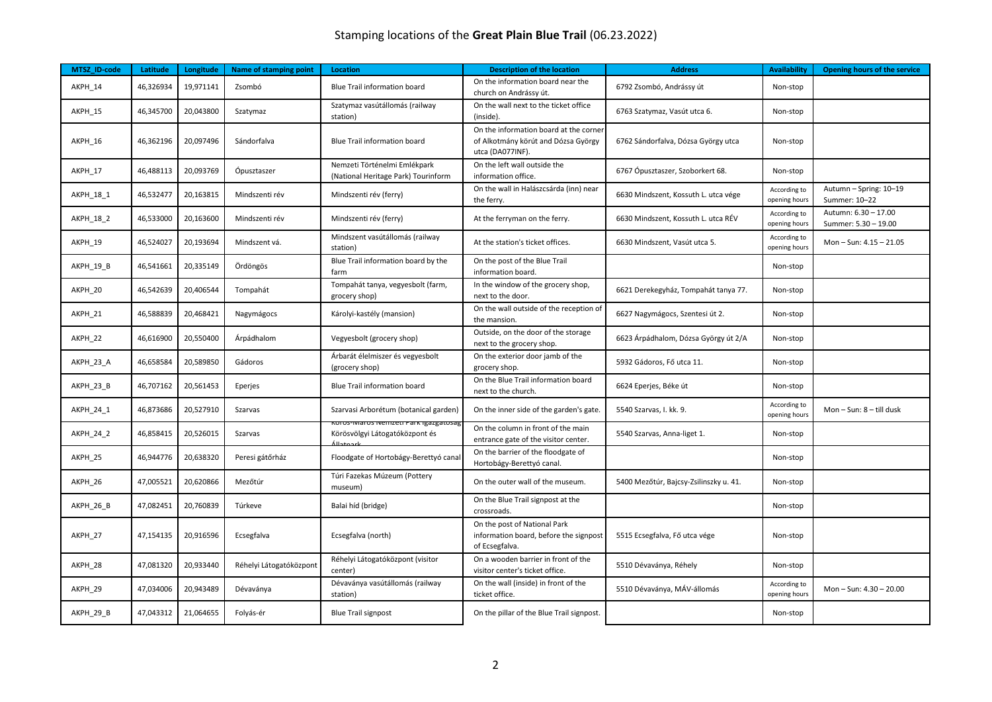| MTSZ ID-code     | Latitude  | Longitude | Name of stamping point  | Location                                                            | <b>Description of the location</b>                                                                | <b>Address</b>                         | <b>Availability</b>           | <b>Opening hours of the service</b>          |
|------------------|-----------|-----------|-------------------------|---------------------------------------------------------------------|---------------------------------------------------------------------------------------------------|----------------------------------------|-------------------------------|----------------------------------------------|
| AKPH 14          | 46,326934 | 19,971141 | Zsombó                  | <b>Blue Trail information board</b>                                 | On the information board near the<br>church on Andrássy út.                                       | 6792 Zsombó, Andrássy út               | Non-stop                      |                                              |
| AKPH 15          | 46,345700 | 20,043800 | Szatymaz                | Szatymaz vasútállomás (railway<br>station)                          | On the wall next to the ticket office<br>(inside).                                                | 6763 Szatymaz, Vasút utca 6.           | Non-stop                      |                                              |
| AKPH_16          | 46,362196 | 20,097496 | Sándorfalva             | Blue Trail information board                                        | On the information board at the corner<br>of Alkotmány körút and Dózsa György<br>utca (DA077INF). | 6762 Sándorfalva, Dózsa György utca    | Non-stop                      |                                              |
| AKPH_17          | 46,488113 | 20,093769 | Ópusztaszer             | Nemzeti Történelmi Emlékpark<br>(National Heritage Park) Tourinform | On the left wall outside the<br>information office.                                               | 6767 Ópusztaszer, Szoborkert 68.       | Non-stop                      |                                              |
| AKPH_18_1        | 46,532477 | 20,163815 | Mindszenti rév          | Mindszenti rév (ferry)                                              | On the wall in Halászcsárda (inn) near<br>the ferry.                                              | 6630 Mindszent, Kossuth L. utca vége   | According to<br>opening hours | Autumn - Spring: 10-19<br>Summer: 10-22      |
| <b>AKPH 18 2</b> | 46,533000 | 20,163600 | Mindszenti rév          | Mindszenti rév (ferry)                                              | At the ferryman on the ferry.                                                                     | 6630 Mindszent, Kossuth L. utca RÉV    | According to<br>opening hours | Autumn: 6.30 - 17.00<br>Summer: 5.30 - 19.00 |
| AKPH 19          | 46,524027 | 20,193694 | Mindszent vá.           | Mindszent vasútállomás (railway<br>station)                         | At the station's ticket offices.                                                                  | 6630 Mindszent, Vasút utca 5.          | According to<br>opening hours | Mon-Sun: 4.15 - 21.05                        |
| AKPH 19 B        | 46,541661 | 20,335149 | Ördöngös                | Blue Trail information board by the<br>farm                         | On the post of the Blue Trail<br>information board.                                               |                                        | Non-stop                      |                                              |
| AKPH_20          | 46,542639 | 20,406544 | Tompahát                | Tompahát tanya, vegyesbolt (farm,<br>grocery shop)                  | In the window of the grocery shop,<br>next to the door.                                           | 6621 Derekegyház, Tompahát tanya 77.   | Non-stop                      |                                              |
| AKPH_21          | 46,588839 | 20,468421 | Nagymágocs              | Károlyi-kastély (mansion)                                           | On the wall outside of the reception of<br>the mansion.                                           | 6627 Nagymágocs, Szentesi út 2.        | Non-stop                      |                                              |
| AKPH_22          | 46,616900 | 20,550400 | Árpádhalom              | Vegyesbolt (grocery shop)                                           | Outside, on the door of the storage<br>next to the grocery shop.                                  | 6623 Árpádhalom, Dózsa György út 2/A   | Non-stop                      |                                              |
| AKPH_23_A        | 46,658584 | 20,589850 | Gádoros                 | Árbarát élelmiszer és vegyesbolt<br>(grocery shop)                  | On the exterior door jamb of the<br>grocery shop.                                                 | 5932 Gádoros, Fő utca 11.              | Non-stop                      |                                              |
| AKPH 23 B        | 46,707162 | 20,561453 | Eperjes                 | Blue Trail information board                                        | On the Blue Trail information board<br>next to the church.                                        | 6624 Eperjes, Béke út                  | Non-stop                      |                                              |
| AKPH 24 1        | 46,873686 | 20,527910 | Szarvas                 | Szarvasi Arborétum (botanical garden)                               | On the inner side of the garden's gate.                                                           | 5540 Szarvas, I. kk. 9.                | According to<br>opening hours | Mon-Sun: 8-till dusk                         |
| AKPH_24_2        | 46,858415 | 20,526015 | Szarvas                 | oros-iviaros iverrizeu na<br>Körösvölgyi Látogatóközpont és         | On the column in front of the main<br>entrance gate of the visitor center.                        | 5540 Szarvas, Anna-liget 1.            | Non-stop                      |                                              |
| AKPH_25          | 46,944776 | 20,638320 | Peresi gátőrház         | Floodgate of Hortobágy-Berettyó canal                               | On the barrier of the floodgate of<br>Hortobágy-Berettyó canal.                                   |                                        | Non-stop                      |                                              |
| AKPH 26          | 47,005521 | 20,620866 | Mezőtúr                 | Túri Fazekas Múzeum (Pottery<br>museum)                             | On the outer wall of the museum.                                                                  | 5400 Mezőtúr, Bajcsy-Zsilinszky u. 41. | Non-stop                      |                                              |
| AKPH 26 B        | 47,082451 | 20,760839 | Túrkeve                 | Balai híd (bridge)                                                  | On the Blue Trail signpost at the<br>crossroads.                                                  |                                        | Non-stop                      |                                              |
| AKPH 27          | 47,154135 | 20,916596 | Ecsegfalva              | Ecsegfalva (north)                                                  | On the post of National Park<br>information board, before the signpost<br>of Ecsegfalva.          | 5515 Ecsegfalva, Fő utca vége          | Non-stop                      |                                              |
| AKPH_28          | 47,081320 | 20,933440 | Réhelyi Látogatóközpont | Réhelyi Látogatóközpont (visitor<br>center)                         | On a wooden barrier in front of the<br>visitor center's ticket office.                            | 5510 Dévaványa, Réhely                 | Non-stop                      |                                              |
| AKPH 29          | 47,034006 | 20,943489 | Dévaványa               | Dévaványa vasútállomás (railway<br>station)                         | On the wall (inside) in front of the<br>ticket office.                                            | 5510 Dévaványa, MÁV-állomás            | According to<br>opening hours | Mon-Sun: 4.30-20.00                          |
| AKPH 29 B        | 47,043312 | 21,064655 | Folyás-ér               | <b>Blue Trail signpost</b>                                          | On the pillar of the Blue Trail signpost.                                                         |                                        | Non-stop                      |                                              |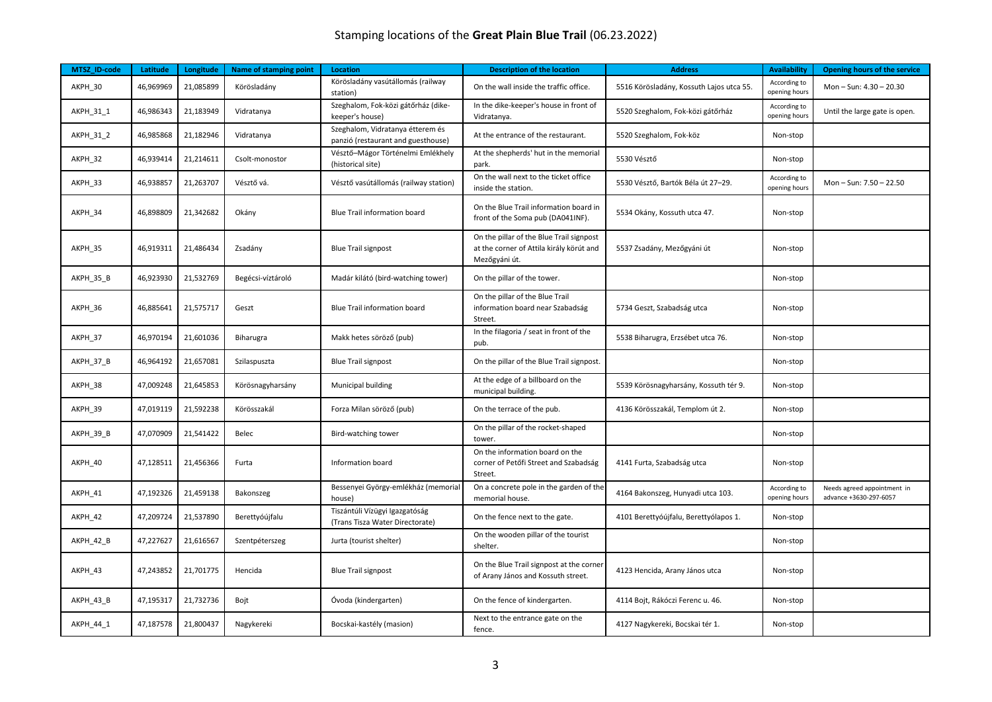| MTSZ_ID-code | Latitude  | Longitude | Name of stamping point | <b>Location</b>                                                        | <b>Description of the location</b>                                                                    | <b>Address</b>                           | <b>Availability</b>           | Opening hours of the service                          |
|--------------|-----------|-----------|------------------------|------------------------------------------------------------------------|-------------------------------------------------------------------------------------------------------|------------------------------------------|-------------------------------|-------------------------------------------------------|
| AKPH_30      | 46,969969 | 21,085899 | Körösladány            | Körösladány vasútállomás (railway<br>station)                          | On the wall inside the traffic office.                                                                | 5516 Körösladány, Kossuth Lajos utca 55. | According to<br>opening hours | Mon-Sun: 4.30-20.30                                   |
| AKPH 31 1    | 46,986343 | 21,183949 | Vidratanya             | Szeghalom, Fok-közi gátőrház (dike-<br>keeper's house)                 | In the dike-keeper's house in front of<br>Vidratanya.                                                 | 5520 Szeghalom, Fok-közi gátőrház        | According to<br>opening hours | Until the large gate is open.                         |
| AKPH_31_2    | 46,985868 | 21,182946 | Vidratanya             | Szeghalom, Vidratanya étterem és<br>panzió (restaurant and guesthouse) | At the entrance of the restaurant.                                                                    | 5520 Szeghalom, Fok-köz                  | Non-stop                      |                                                       |
| AKPH_32      | 46,939414 | 21,214611 | Csolt-monostor         | Vésztő-Mágor Történelmi Emlékhely<br>(historical site)                 | At the shepherds' hut in the memorial<br>park.                                                        | 5530 Vésztő                              | Non-stop                      |                                                       |
| AKPH 33      | 46,938857 | 21,263707 | Vésztő vá.             | Vésztő vasútállomás (railway station)                                  | On the wall next to the ticket office<br>inside the station.                                          | 5530 Vésztő, Bartók Béla út 27–29.       | According to<br>opening hours | Mon-Sun: 7.50 - 22.50                                 |
| AKPH 34      | 46,898809 | 21,342682 | Okány                  | <b>Blue Trail information board</b>                                    | On the Blue Trail information board in<br>front of the Soma pub (DA041INF).                           | 5534 Okány, Kossuth utca 47.             | Non-stop                      |                                                       |
| AKPH_35      | 46,919311 | 21,486434 | Zsadány                | <b>Blue Trail signpost</b>                                             | On the pillar of the Blue Trail signpost<br>at the corner of Attila király körút and<br>Mezőgyáni út. | 5537 Zsadány, Mezőgyáni út               | Non-stop                      |                                                       |
| AKPH_35_B    | 46,923930 | 21,532769 | Begécsi-víztároló      | Madár kilátó (bird-watching tower)                                     | On the pillar of the tower.                                                                           |                                          | Non-stop                      |                                                       |
| AKPH 36      | 46,885641 | 21,575717 | Geszt                  | Blue Trail information board                                           | On the pillar of the Blue Trail<br>information board near Szabadság<br>Street.                        | 5734 Geszt, Szabadság utca               | Non-stop                      |                                                       |
| AKPH_37      | 46,970194 | 21,601036 | Biharugra              | Makk hetes söröző (pub)                                                | In the filagoria / seat in front of the<br>pub.                                                       | 5538 Biharugra, Erzsébet utca 76.        | Non-stop                      |                                                       |
| AKPH_37_B    | 46,964192 | 21,657081 | Szilaspuszta           | <b>Blue Trail signpost</b>                                             | On the pillar of the Blue Trail signpost.                                                             |                                          | Non-stop                      |                                                       |
| AKPH_38      | 47,009248 | 21,645853 | Körösnagyharsány       | Municipal building                                                     | At the edge of a billboard on the<br>municipal building.                                              | 5539 Körösnagyharsány, Kossuth tér 9.    | Non-stop                      |                                                       |
| AKPH_39      | 47,019119 | 21,592238 | Körösszakál            | Forza Milan söröző (pub)                                               | On the terrace of the pub.                                                                            | 4136 Körösszakál, Templom út 2.          | Non-stop                      |                                                       |
| AKPH_39_B    | 47,070909 | 21,541422 | Belec                  | Bird-watching tower                                                    | On the pillar of the rocket-shaped<br>tower.                                                          |                                          | Non-stop                      |                                                       |
| AKPH_40      | 47,128511 | 21,456366 | Furta                  | Information board                                                      | On the information board on the<br>corner of Petőfi Street and Szabadság<br>Street.                   | 4141 Furta, Szabadság utca               | Non-stop                      |                                                       |
| AKPH_41      | 47,192326 | 21,459138 | Bakonszeg              | Bessenyei György-emlékház (memorial<br>house)                          | On a concrete pole in the garden of the<br>memorial house.                                            | 4164 Bakonszeg, Hunyadi utca 103.        | According to<br>opening hours | Needs agreed appointment in<br>advance +3630-297-6057 |
| AKPH_42      | 47,209724 | 21,537890 | Berettyóújfalu         | Tiszántúli Vízügyi Igazgatóság<br>(Trans Tisza Water Directorate)      | On the fence next to the gate.                                                                        | 4101 Berettyóújfalu, Berettyólapos 1.    | Non-stop                      |                                                       |
| AKPH_42_B    | 47,227627 | 21,616567 | Szentpéterszeg         | Jurta (tourist shelter)                                                | On the wooden pillar of the tourist<br>shelter.                                                       |                                          | Non-stop                      |                                                       |
| AKPH_43      | 47,243852 | 21,701775 | Hencida                | <b>Blue Trail signpost</b>                                             | On the Blue Trail signpost at the corner<br>of Arany János and Kossuth street.                        | 4123 Hencida, Arany János utca           | Non-stop                      |                                                       |
| AKPH_43_B    | 47,195317 | 21,732736 | Bojt                   | Óvoda (kindergarten)                                                   | On the fence of kindergarten.                                                                         | 4114 Bojt, Rákóczi Ferenc u. 46.         | Non-stop                      |                                                       |
| AKPH_44_1    | 47,187578 | 21,800437 | Nagykereki             | Bocskai-kastély (masion)                                               | Next to the entrance gate on the<br>fence.                                                            | 4127 Nagykereki, Bocskai tér 1.          | Non-stop                      |                                                       |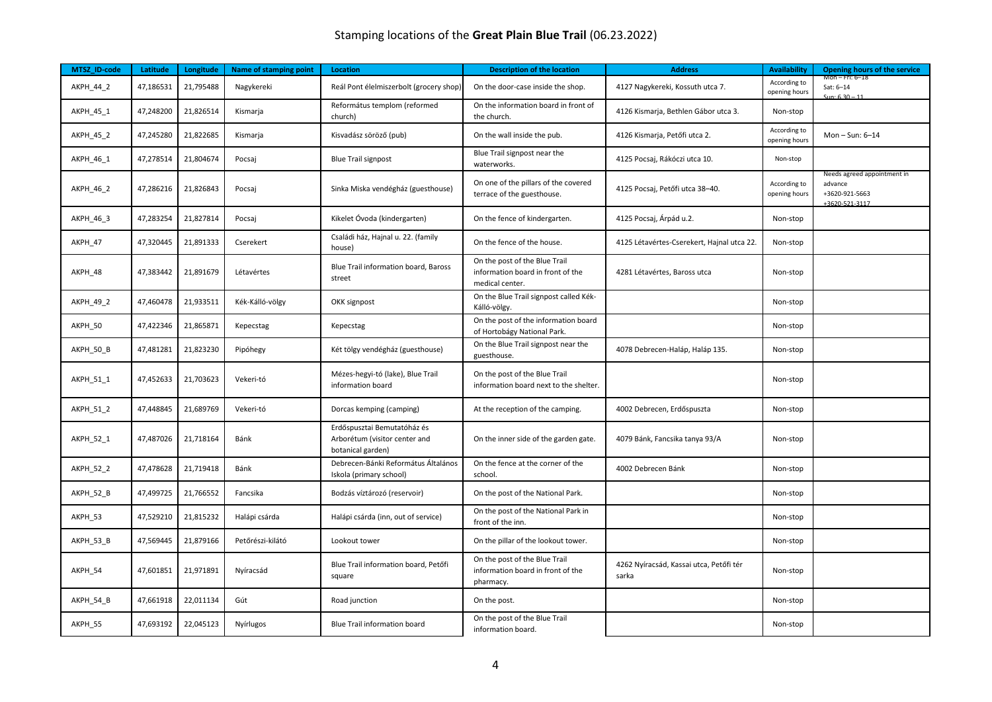| MTSZ_ID-code | Latitude  | Longitude | Name of stamping point | Location                                                                          | <b>Description of the location</b>                                                    | <b>Address</b>                                   | <b>Availability</b>           | Opening hours of the service                                               |
|--------------|-----------|-----------|------------------------|-----------------------------------------------------------------------------------|---------------------------------------------------------------------------------------|--------------------------------------------------|-------------------------------|----------------------------------------------------------------------------|
| AKPH_44_2    | 47,186531 | 21,795488 | Nagykereki             | Reál Pont élelmiszerbolt (grocery shop)                                           | On the door-case inside the shop.                                                     | 4127 Nagykereki, Kossuth utca 7.                 | According to<br>opening hours | Mon – Fri: 6–18<br>Sat: 6-14<br>$C_{11}$ n $620$                           |
| AKPH_45_1    | 47,248200 | 21,826514 | Kismarja               | Református templom (reformed<br>church)                                           | On the information board in front of<br>the church.                                   | 4126 Kismarja, Bethlen Gábor utca 3.             | Non-stop                      |                                                                            |
| AKPH_45_2    | 47,245280 | 21,822685 | Kismarja               | Kisvadász söröző (pub)                                                            | On the wall inside the pub.                                                           | 4126 Kismarja, Petőfi utca 2.                    | According to<br>opening hours | Mon-Sun: $6-14$                                                            |
| AKPH_46_1    | 47,278514 | 21,804674 | Pocsaj                 | <b>Blue Trail signpost</b>                                                        | Blue Trail signpost near the<br>waterworks.                                           | 4125 Pocsaj, Rákóczi utca 10.                    | Non-stop                      |                                                                            |
| AKPH_46_2    | 47,286216 | 21,826843 | Pocsaj                 | Sinka Miska vendégház (guesthouse)                                                | On one of the pillars of the covered<br>terrace of the guesthouse.                    | 4125 Pocsaj, Petőfi utca 38-40.                  | According to<br>opening hours | Needs agreed appointment in<br>advance<br>+3620-921-5663<br>+3620-521-3117 |
| AKPH_46_3    | 47,283254 | 21,827814 | Pocsaj                 | Kikelet Óvoda (kindergarten)                                                      | On the fence of kindergarten.                                                         | 4125 Pocsaj, Árpád u.2.                          | Non-stop                      |                                                                            |
| AKPH_47      | 47,320445 | 21,891333 | Cserekert              | Családi ház, Hajnal u. 22. (family<br>house)                                      | On the fence of the house.                                                            | 4125 Létavértes-Cserekert, Hajnal utca 22.       | Non-stop                      |                                                                            |
| AKPH_48      | 47,383442 | 21,891679 | Létavértes             | Blue Trail information board, Baross<br>street                                    | On the post of the Blue Trail<br>information board in front of the<br>medical center. | 4281 Létavértes, Baross utca                     | Non-stop                      |                                                                            |
| AKPH_49_2    | 47,460478 | 21,933511 | Kék-Kálló-völgy        | OKK signpost                                                                      | On the Blue Trail signpost called Kék-<br>Kálló-völgy.                                |                                                  | Non-stop                      |                                                                            |
| AKPH_50      | 47,422346 | 21,865871 | Kepecstag              | Kepecstag                                                                         | On the post of the information board<br>of Hortobágy National Park.                   |                                                  | Non-stop                      |                                                                            |
| AKPH_50_B    | 47,481281 | 21,823230 | Pipóhegy               | Két tölgy vendégház (guesthouse)                                                  | On the Blue Trail signpost near the<br>guesthouse.                                    | 4078 Debrecen-Haláp, Haláp 135.                  | Non-stop                      |                                                                            |
| AKPH_51_1    | 47,452633 | 21,703623 | Vekeri-tó              | Mézes-hegyi-tó (lake), Blue Trail<br>information board                            | On the post of the Blue Trail<br>information board next to the shelter.               |                                                  | Non-stop                      |                                                                            |
| AKPH_51_2    | 47,448845 | 21,689769 | Vekeri-tó              | Dorcas kemping (camping)                                                          | At the reception of the camping.                                                      | 4002 Debrecen, Erdőspuszta                       | Non-stop                      |                                                                            |
| AKPH_52_1    | 47,487026 | 21,718164 | Bánk                   | Erdőspusztai Bemutatóház és<br>Arborétum (visitor center and<br>botanical garden) | On the inner side of the garden gate.                                                 | 4079 Bánk, Fancsika tanya 93/A                   | Non-stop                      |                                                                            |
| AKPH_52_2    | 47,478628 | 21,719418 | Bánk                   | Debrecen-Bánki Református Általános<br>Iskola (primary school)                    | On the fence at the corner of the<br>school.                                          | 4002 Debrecen Bánk                               | Non-stop                      |                                                                            |
| AKPH_52_B    | 47,499725 | 21,766552 | Fancsika               | Bodzás víztározó (reservoir)                                                      | On the post of the National Park.                                                     |                                                  | Non-stop                      |                                                                            |
| AKPH_53      | 47,529210 | 21,815232 | Halápi csárda          | Halápi csárda (inn, out of service)                                               | On the post of the National Park in<br>front of the inn.                              |                                                  | Non-stop                      |                                                                            |
| AKPH_53_B    | 47,569445 | 21,879166 | Petőrészi-kilátó       | Lookout tower                                                                     | On the pillar of the lookout tower.                                                   |                                                  | Non-stop                      |                                                                            |
| AKPH_54      | 47,601851 | 21,971891 | Nyíracsád              | Blue Trail information board, Petőfi<br>square                                    | On the post of the Blue Trail<br>information board in front of the<br>pharmacy.       | 4262 Nyíracsád, Kassai utca, Petőfi tér<br>sarka | Non-stop                      |                                                                            |
| AKPH_54_B    | 47,661918 | 22,011134 | Gút                    | Road junction                                                                     | On the post.                                                                          |                                                  | Non-stop                      |                                                                            |
| AKPH 55      | 47,693192 | 22,045123 | Nyírlugos              | Blue Trail information board                                                      | On the post of the Blue Trail<br>information board.                                   |                                                  | Non-stop                      |                                                                            |